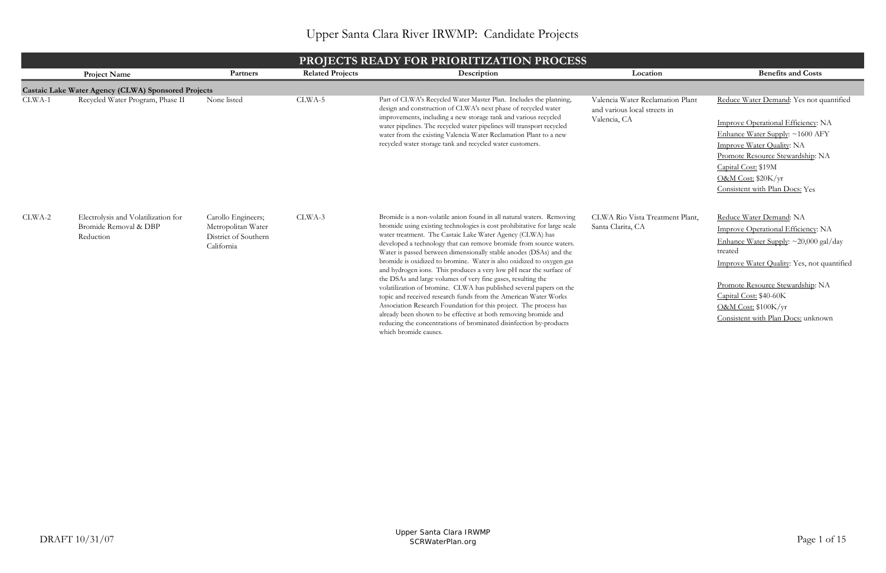|        | <b>PROJECTS READY FOR PRIORITIZATION PROCESS</b>                          |                                                                                |                         |                                                                                                                                                                                                                                                                                                                                                                                                                                                                                                                                                                                                                                                                                                                                                                                                                                                                                                                                                            |                                                                                  |                                                                                                                                                                                                                                                                                                  |  |  |  |
|--------|---------------------------------------------------------------------------|--------------------------------------------------------------------------------|-------------------------|------------------------------------------------------------------------------------------------------------------------------------------------------------------------------------------------------------------------------------------------------------------------------------------------------------------------------------------------------------------------------------------------------------------------------------------------------------------------------------------------------------------------------------------------------------------------------------------------------------------------------------------------------------------------------------------------------------------------------------------------------------------------------------------------------------------------------------------------------------------------------------------------------------------------------------------------------------|----------------------------------------------------------------------------------|--------------------------------------------------------------------------------------------------------------------------------------------------------------------------------------------------------------------------------------------------------------------------------------------------|--|--|--|
|        | <b>Project Name</b>                                                       | Partners                                                                       | <b>Related Projects</b> | Description                                                                                                                                                                                                                                                                                                                                                                                                                                                                                                                                                                                                                                                                                                                                                                                                                                                                                                                                                | Location                                                                         | <b>Benefits and Costs</b>                                                                                                                                                                                                                                                                        |  |  |  |
|        | Castaic Lake Water Agency (CLWA) Sponsored Projects                       |                                                                                |                         |                                                                                                                                                                                                                                                                                                                                                                                                                                                                                                                                                                                                                                                                                                                                                                                                                                                                                                                                                            |                                                                                  |                                                                                                                                                                                                                                                                                                  |  |  |  |
| CLWA-1 | Recycled Water Program, Phase II                                          | None listed                                                                    | CLWA-5                  | Part of CLWA's Recycled Water Master Plan. Includes the planning,<br>design and construction of CLWA's next phase of recycled water<br>improvements, including a new storage tank and various recycled<br>water pipelines. The recycled water pipelines will transport recycled<br>water from the existing Valencia Water Reclamation Plant to a new<br>recycled water storage tank and recycled water customers.                                                                                                                                                                                                                                                                                                                                                                                                                                                                                                                                          | Valencia Water Reclamation Plant<br>and various local streets in<br>Valencia, CA | Reduce Water Demand: Yes not quantified<br>Improve Operational Efficiency: NA<br>Enhance Water Supply: ~1600 AFY<br>Improve Water Quality: NA<br>Promote Resource Stewardship: NA<br>Capital Cost: \$19M<br>O&M Cost: \$20K/yr<br>Consistent with Plan Docs: Yes                                 |  |  |  |
| CLWA-2 | Electrolysis and Volatilization for<br>Bromide Removal & DBP<br>Reduction | Carollo Engineers;<br>Metropolitan Water<br>District of Southern<br>California | CLWA-3                  | Bromide is a non-volatile anion found in all natural waters. Removing<br>bromide using existing technologies is cost prohibitative for large scale<br>water treatment. The Castaic Lake Water Agency (CLWA) has<br>developed a technology that can remove bromide from source waters.<br>Water is passed between dimensionally stable anodes (DSAs) and the<br>bromide is oxidized to bromine. Water is also oxidized to oxygen gas<br>and hydrogen ions. This produces a very low pH near the surface of<br>the DSAs and large volumes of very fine gases, resulting the<br>volatilization of bromine. CLWA has published several papers on the<br>topic and received research funds from the American Water Works<br>Association Research Foundation for this project. The process has<br>already been shown to be effective at both removing bromide and<br>reducing the concentrations of brominated disinfection by-products<br>which bromide causes. | CLWA Rio Vista Treatment Plant,<br>Santa Clarita, CA                             | Reduce Water Demand: NA<br>Improve Operational Efficiency: NA<br>Enhance Water Supply: $\sim$ 20,000 gal/day<br>treated<br>Improve Water Quality: Yes, not quantified<br>Promote Resource Stewardship: NA<br>Capital Cost: \$40-60K<br>O&M Cost: \$100K/yr<br>Consistent with Plan Docs: unknown |  |  |  |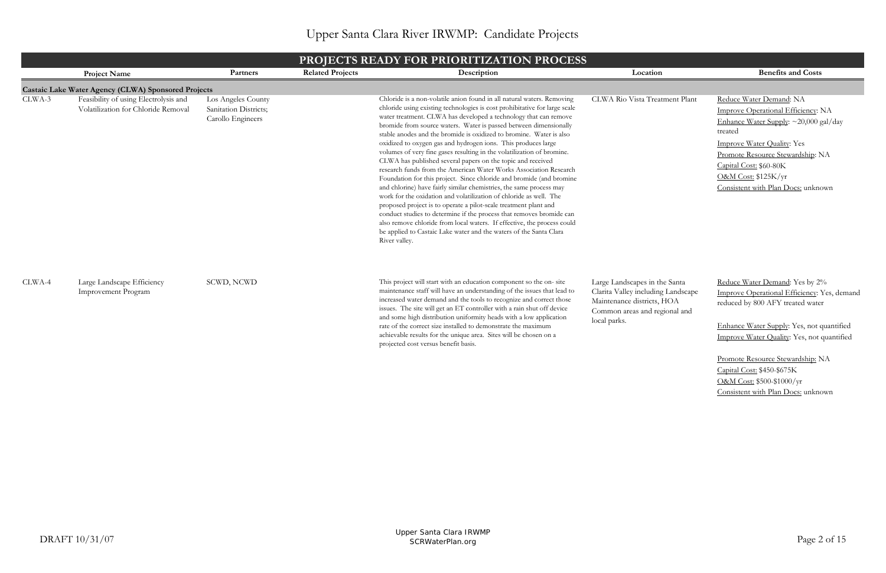Promote Resource Stewardship: NA Capital Cost: \$450-\$675K O&M Cost: \$500-\$1000/yr Consistent with Plan Docs: unknown

|        | <b>PROJECTS READY FOR PRIORITIZATION PROCESS</b>                             |                                                                  |                         |                                                                                                                                                                                                                                                                                                                                                                                                                                                                                                                                                                                                                                                                                                                                                                                                                                                                                                                                                                                                                                                                                                                                                                                        |                                                                                                                                                    |                                                                                                                                                                                                                                                                                   |  |  |  |
|--------|------------------------------------------------------------------------------|------------------------------------------------------------------|-------------------------|----------------------------------------------------------------------------------------------------------------------------------------------------------------------------------------------------------------------------------------------------------------------------------------------------------------------------------------------------------------------------------------------------------------------------------------------------------------------------------------------------------------------------------------------------------------------------------------------------------------------------------------------------------------------------------------------------------------------------------------------------------------------------------------------------------------------------------------------------------------------------------------------------------------------------------------------------------------------------------------------------------------------------------------------------------------------------------------------------------------------------------------------------------------------------------------|----------------------------------------------------------------------------------------------------------------------------------------------------|-----------------------------------------------------------------------------------------------------------------------------------------------------------------------------------------------------------------------------------------------------------------------------------|--|--|--|
|        | <b>Project Name</b>                                                          | Partners                                                         | <b>Related Projects</b> | Description                                                                                                                                                                                                                                                                                                                                                                                                                                                                                                                                                                                                                                                                                                                                                                                                                                                                                                                                                                                                                                                                                                                                                                            | Location                                                                                                                                           | <b>Benefits and Costs</b>                                                                                                                                                                                                                                                         |  |  |  |
|        | Castaic Lake Water Agency (CLWA) Sponsored Projects                          |                                                                  |                         |                                                                                                                                                                                                                                                                                                                                                                                                                                                                                                                                                                                                                                                                                                                                                                                                                                                                                                                                                                                                                                                                                                                                                                                        |                                                                                                                                                    |                                                                                                                                                                                                                                                                                   |  |  |  |
| CLWA-3 | Feasibility of using Electrolysis and<br>Volatilization for Chloride Removal | Los Angeles County<br>Sanitation Districts;<br>Carollo Engineers |                         | Chloride is a non-volatile anion found in all natural waters. Removing<br>chloride using existing technologies is cost prohibitative for large scale<br>water treatment. CLWA has developed a technology that can remove<br>bromide from source waters. Water is passed between dimensionally<br>stable anodes and the bromide is oxidized to bromine. Water is also<br>oxidized to oxygen gas and hydrogen ions. This produces large<br>volumes of very fine gases resulting in the volatilization of bromine.<br>CLWA has published several papers on the topic and received<br>research funds from the American Water Works Association Research<br>Foundation for this project. Since chloride and bromide (and bromine<br>and chlorine) have fairly similar chemistries, the same process may<br>work for the oxidation and volatilization of chloride as well. The<br>proposed project is to operate a pilot-scale treatment plant and<br>conduct studies to determine if the process that removes bromide can<br>also remove chloride from local waters. If effective, the process could<br>be applied to Castaic Lake water and the waters of the Santa Clara<br>River valley. | CLWA Rio Vista Treatment Plant                                                                                                                     | Reduce Water Demand: NA<br>Improve Operational Efficiency: NA<br>Enhance Water Supply: ~20,000 gal/day<br>treated<br><b>Improve Water Quality: Yes</b><br>Promote Resource Stewardship: NA<br>Capital Cost: \$60-80K<br>O&M Cost: \$125K/yr<br>Consistent with Plan Docs: unknown |  |  |  |
| CLWA-4 | Large Landscape Efficiency<br><b>Improvement Program</b>                     | SCWD, NCWD                                                       |                         | This project will start with an education component so the on- site<br>maintenance staff will have an understanding of the issues that lead to<br>increased water demand and the tools to recognize and correct those<br>issues. The site will get an ET controller with a rain shut off device<br>and some high distribution uniformity heads with a low application<br>rate of the correct size installed to demonstrate the maximum<br>achievable results for the unique area. Sites will be chosen on a<br>projected cost versus benefit basis.                                                                                                                                                                                                                                                                                                                                                                                                                                                                                                                                                                                                                                    | Large Landscapes in the Santa<br>Clarita Valley including Landscape<br>Maintenance districts, HOA<br>Common areas and regional and<br>local parks. | Reduce Water Demand: Yes by 2%<br>Improve Operational Efficiency: Yes, demand<br>reduced by 800 AFY treated water<br>Enhance Water Supply: Yes, not quantified<br>Improve Water Quality: Yes, not quantified                                                                      |  |  |  |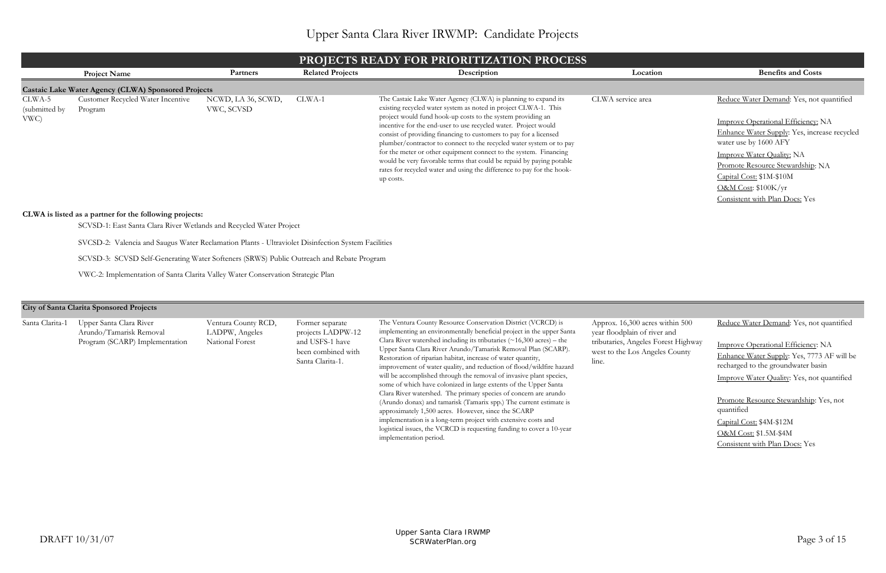| es within 500<br>iver and | Reduce Water Demand: Yes, not quantified                                         |
|---------------------------|----------------------------------------------------------------------------------|
| Forest Highway            | <b>Improve Operational Efficiency: NA</b>                                        |
| geles County              | Enhance Water Supply: Yes, 7773 AF will be<br>recharged to the groundwater basin |
|                           | <b>Improve Water Quality: Yes, not quantified</b>                                |
|                           | <b>Promote Resource Stewardship:</b> Yes, not<br>quantified                      |
|                           | Capital Cost: \$4M-\$12M                                                         |
|                           | O&M Cost: \$1.5M-\$4M                                                            |
|                           | Consistent with Plan Docs: Yes                                                   |
|                           |                                                                                  |

Santa Clarita-1 Upper Santa Clara River Arundo/Tamarisk Removal Program (SCARP) Implementation

|                                 | <b>PROJECTS READY FOR PRIORITIZATION PROCESS</b>                                                          |                                  |                         |                                                                                                                                                                                                                                                                                                                                                                                                                                                                                                                                                                                                                                                      |                   |                                                                                                                                                                                                                                                                                                                          |  |  |  |  |
|---------------------------------|-----------------------------------------------------------------------------------------------------------|----------------------------------|-------------------------|------------------------------------------------------------------------------------------------------------------------------------------------------------------------------------------------------------------------------------------------------------------------------------------------------------------------------------------------------------------------------------------------------------------------------------------------------------------------------------------------------------------------------------------------------------------------------------------------------------------------------------------------------|-------------------|--------------------------------------------------------------------------------------------------------------------------------------------------------------------------------------------------------------------------------------------------------------------------------------------------------------------------|--|--|--|--|
|                                 | <b>Project Name</b>                                                                                       | Partners                         | <b>Related Projects</b> | Description                                                                                                                                                                                                                                                                                                                                                                                                                                                                                                                                                                                                                                          | Location          | <b>Benefits and Costs</b>                                                                                                                                                                                                                                                                                                |  |  |  |  |
|                                 | Castaic Lake Water Agency (CLWA) Sponsored Projects                                                       |                                  |                         |                                                                                                                                                                                                                                                                                                                                                                                                                                                                                                                                                                                                                                                      |                   |                                                                                                                                                                                                                                                                                                                          |  |  |  |  |
| CLWA-5<br>(submitted by<br>VWC) | Customer Recycled Water Incentive<br>Program                                                              | NCWD, LA 36, SCWD,<br>VWC, SCVSD | CLWA-1                  | The Castaic Lake Water Agency (CLWA) is planning to expand its<br>existing recycled water system as noted in project CLWA-1. This<br>project would fund hook-up costs to the system providing an<br>incentive for the end-user to use recycled water. Project would<br>consist of providing financing to customers to pay for a licensed<br>plumber/contractor to connect to the recycled water system or to pay<br>for the meter or other equipment connect to the system. Financing<br>would be very favorable terms that could be repaid by paying potable<br>rates for recycled water and using the difference to pay for the hook-<br>up costs. | CLWA service area | Reduce Water Demand: Yes, not quantified<br>Improve Operational Efficiency: NA<br>Enhance Water Supply: Yes, increase recycled<br>water use by 1600 AFY<br>Improve Water Quality: NA<br>Promote Resource Stewardship: NA<br>Capital Cost: \$1M-\$10M<br><b>O&amp;M Cost: \$100K/yr</b><br>Consistent with Plan Docs: Yes |  |  |  |  |
|                                 | CLWA is listed as a partner for the following projects:                                                   |                                  |                         |                                                                                                                                                                                                                                                                                                                                                                                                                                                                                                                                                                                                                                                      |                   |                                                                                                                                                                                                                                                                                                                          |  |  |  |  |
|                                 | SCVSD-1: East Santa Clara River Wetlands and Recycled Water Project                                       |                                  |                         |                                                                                                                                                                                                                                                                                                                                                                                                                                                                                                                                                                                                                                                      |                   |                                                                                                                                                                                                                                                                                                                          |  |  |  |  |
|                                 | SVCSD-2: Valencia and Saugus Water Reclamation Plants - Ultraviolet Disinfection System Facilities        |                                  |                         |                                                                                                                                                                                                                                                                                                                                                                                                                                                                                                                                                                                                                                                      |                   |                                                                                                                                                                                                                                                                                                                          |  |  |  |  |
|                                 | SCVSD-3: SCVSD Self-Generating Water Softeners (SRWS) Public Outreach and Rebate Program                  |                                  |                         |                                                                                                                                                                                                                                                                                                                                                                                                                                                                                                                                                                                                                                                      |                   |                                                                                                                                                                                                                                                                                                                          |  |  |  |  |
|                                 | VWC-2: Implementation of Santa Clarita Valley Water Conservation Strategic Plan                           |                                  |                         |                                                                                                                                                                                                                                                                                                                                                                                                                                                                                                                                                                                                                                                      |                   |                                                                                                                                                                                                                                                                                                                          |  |  |  |  |
|                                 | $\overline{a}$ $\overline{a}$ $\overline{a}$ $\overline{a}$ $\overline{a}$ $\overline{a}$<br>$\mathbf{r}$ |                                  |                         |                                                                                                                                                                                                                                                                                                                                                                                                                                                                                                                                                                                                                                                      |                   |                                                                                                                                                                                                                                                                                                                          |  |  |  |  |

Ventura County RCD, LADPW, Angeles National Forest

Approx.  $16,300$  acre year floodplain of ri tributaries, Angeles west to the Los Ang line.

Former separate projects LADPW-12 and USFS-1 have been combined with Santa Clarita-1.

The Ventura County Resource Conservation District (VCRCD) is implementing an environmentally beneficial project in the upper Santa Clara River watershed including its tributaries  $(\sim 16,300 \text{ acres})$  – the Upper Santa Clara River Arundo/Tamarisk Removal Plan (SCARP). Restoration of riparian habitat, increase of water quantity, improvement of water quality, and reduction of flood/wildfire hazard will be accomplished through the removal of invasive plant species, some of which have colonized in large extents of the Upper Santa Clara River watershed. The primary species of concern are arundo (Arundo donax) and tamarisk (Tamarix spp.) The current estimate is approximately 1,500 acres. However, since the SCARP implementation is a long-term project with extensive costs and logistical issues, the VCRCD is requesting funding to cover a 10-year implementation period.

#### **City of Santa Clarita Sponsored Projects**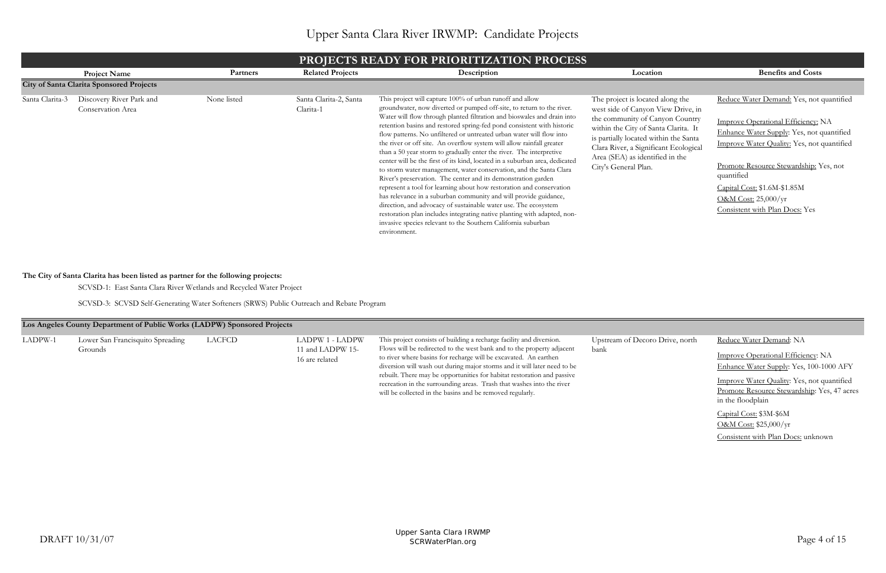| o Drive, north | Reduce Water Demand: NA                                                                          |
|----------------|--------------------------------------------------------------------------------------------------|
|                | <b>Improve Operational Efficiency: NA</b>                                                        |
|                | Enhance Water Supply: Yes, 100-1000 AFY                                                          |
|                | <b>Improve Water Quality: Yes, not quantified</b><br>Promote Resource Stewardship: Yes, 47 acres |
|                | in the floodplain                                                                                |
|                | Capital Cost: \$3M-\$6M                                                                          |
|                | O&M Cost: \$25,000/yr                                                                            |
|                | Consistent with Plan Docs: unknown                                                               |
|                |                                                                                                  |

SCVSD-3: SCVSD Self-Generating Water Softeners (SRWS) Public Outreach and Rebate Program

|                 | <b>PROJECTS READY FOR PRIORITIZATION PROCESS</b> |             |                                     |                                                                                                                                                                                                                                                                                                                                                                                                                                                                                                                                                                                                                                                                                                                                                                                                                                                                                                                                                                                                                                                                                                                  |                                                                                                                                                                                                                                                                                                |                                                                                                                                                                                                                                                                                                                            |  |  |  |  |
|-----------------|--------------------------------------------------|-------------|-------------------------------------|------------------------------------------------------------------------------------------------------------------------------------------------------------------------------------------------------------------------------------------------------------------------------------------------------------------------------------------------------------------------------------------------------------------------------------------------------------------------------------------------------------------------------------------------------------------------------------------------------------------------------------------------------------------------------------------------------------------------------------------------------------------------------------------------------------------------------------------------------------------------------------------------------------------------------------------------------------------------------------------------------------------------------------------------------------------------------------------------------------------|------------------------------------------------------------------------------------------------------------------------------------------------------------------------------------------------------------------------------------------------------------------------------------------------|----------------------------------------------------------------------------------------------------------------------------------------------------------------------------------------------------------------------------------------------------------------------------------------------------------------------------|--|--|--|--|
|                 | <b>Project Name</b>                              | Partners    | <b>Related Projects</b>             | Description                                                                                                                                                                                                                                                                                                                                                                                                                                                                                                                                                                                                                                                                                                                                                                                                                                                                                                                                                                                                                                                                                                      | Location                                                                                                                                                                                                                                                                                       | <b>Benefits and Costs</b>                                                                                                                                                                                                                                                                                                  |  |  |  |  |
|                 | <b>City of Santa Clarita Sponsored Projects</b>  |             |                                     |                                                                                                                                                                                                                                                                                                                                                                                                                                                                                                                                                                                                                                                                                                                                                                                                                                                                                                                                                                                                                                                                                                                  |                                                                                                                                                                                                                                                                                                |                                                                                                                                                                                                                                                                                                                            |  |  |  |  |
| Santa Clarita-3 | Discovery River Park and<br>Conservation Area    | None listed | Santa Clarita-2, Santa<br>Clarita-1 | This project will capture 100% of urban runoff and allow<br>groundwater, now diverted or pumped off-site, to return to the river.<br>Water will flow through planted filtration and bioswales and drain into<br>retention basins and restored spring-fed pond consistent with historic<br>flow patterns. No unfiltered or untreated urban water will flow into<br>the river or off site. An overflow system will allow rainfall greater<br>than a 50 year storm to gradually enter the river. The interpretive<br>center will be the first of its kind, located in a suburban area, dedicated<br>to storm water management, water conservation, and the Santa Clara<br>River's preservation. The center and its demonstration garden<br>represent a tool for learning about how restoration and conservation<br>has relevance in a suburban community and will provide guidance,<br>direction, and advocacy of sustainable water use. The ecosystem<br>restoration plan includes integrating native planting with adapted, non-<br>invasive species relevant to the Southern California suburban<br>environment. | The project is located along the<br>west side of Canyon View Drive, in<br>the community of Canyon Country<br>within the City of Santa Clarita. It<br>is partially located within the Santa<br>Clara River, a Significant Ecological<br>Area (SEA) as identified in the<br>City's General Plan. | Reduce Water Demand: Yes, not quantified<br>Improve Operational Efficiency: NA<br>Enhance Water Supply: Yes, not quantified<br>Improve Water Quality: Yes, not quantified<br>Promote Resource Stewardship: Yes, not<br>quantified<br>Capital Cost: \$1.6M-\$1.85M<br>O&M Cost: 25,000/yr<br>Consistent with Plan Docs: Yes |  |  |  |  |

|         | Los Angeles County Department of Public Works (LADPW) Sponsored Projects |        |                                                       |                                                                                                                                                                                                                                                                                                                                                                                                                                                                                                                 |                                         |
|---------|--------------------------------------------------------------------------|--------|-------------------------------------------------------|-----------------------------------------------------------------------------------------------------------------------------------------------------------------------------------------------------------------------------------------------------------------------------------------------------------------------------------------------------------------------------------------------------------------------------------------------------------------------------------------------------------------|-----------------------------------------|
| LADPW-1 | Lower San Francisquito Spreading<br>Grounds                              | LACFCD | LADPW 1 - LADPW<br>11 and LADPW 15-<br>16 are related | This project consists of building a recharge facility and diversion.<br>Flows will be redirected to the west bank and to the property adjacent<br>to river where basins for recharge will be excavated. An earthen<br>diversion will wash out during major storms and it will later need to be<br>rebuilt. There may be opportunities for habitat restoration and passive<br>recreation in the surrounding areas. Trash that washes into the river<br>will be collected in the basins and be removed regularly. | Upstream of Decoro Drive, north<br>bank |

SCVSD-1: East Santa Clara River Wetlands and Recycled Water Project

## **The City of Santa Clarita has been listed as partner for the following projects:**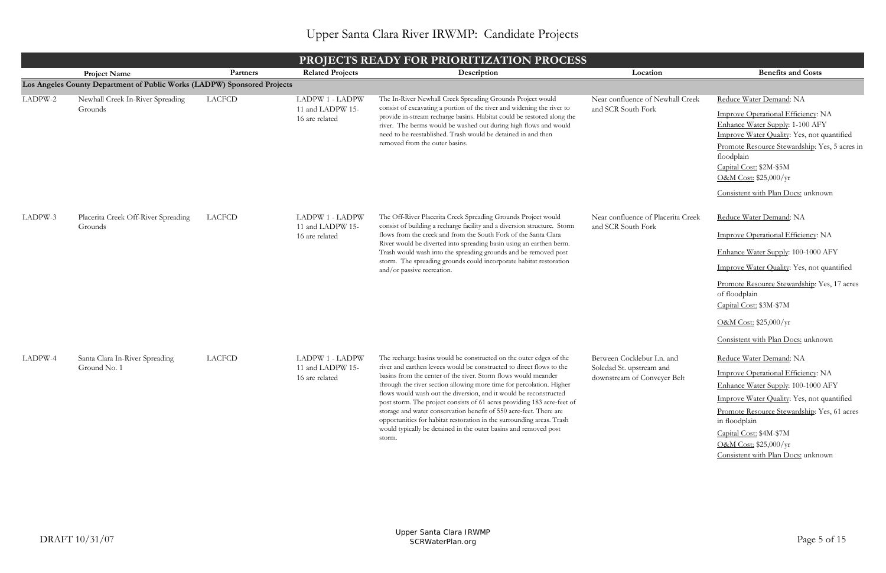|         | <b>PROJECTS READY FOR PRIORITIZATION PROCESS</b>                         |               |                                                              |                                                                                                                                                                                                                                                                                                                                                                                                                                                                                                                                                                                                                                                                   |                                                                                      |                                                                                                                                                                                                                                                                                                             |  |  |  |
|---------|--------------------------------------------------------------------------|---------------|--------------------------------------------------------------|-------------------------------------------------------------------------------------------------------------------------------------------------------------------------------------------------------------------------------------------------------------------------------------------------------------------------------------------------------------------------------------------------------------------------------------------------------------------------------------------------------------------------------------------------------------------------------------------------------------------------------------------------------------------|--------------------------------------------------------------------------------------|-------------------------------------------------------------------------------------------------------------------------------------------------------------------------------------------------------------------------------------------------------------------------------------------------------------|--|--|--|
|         | <b>Project Name</b>                                                      | Partners      | <b>Related Projects</b>                                      | Description                                                                                                                                                                                                                                                                                                                                                                                                                                                                                                                                                                                                                                                       | Location                                                                             | <b>Benefits and Costs</b>                                                                                                                                                                                                                                                                                   |  |  |  |
|         | Los Angeles County Department of Public Works (LADPW) Sponsored Projects |               |                                                              |                                                                                                                                                                                                                                                                                                                                                                                                                                                                                                                                                                                                                                                                   |                                                                                      |                                                                                                                                                                                                                                                                                                             |  |  |  |
| LADPW-2 | Newhall Creek In-River Spreading<br>Grounds                              | <b>LACFCD</b> | <b>LADPW 1 - LADPW</b><br>11 and LADPW 15-<br>16 are related | The In-River Newhall Creek Spreading Grounds Project would<br>consist of excavating a portion of the river and widening the river to<br>provide in-stream recharge basins. Habitat could be restored along the<br>river. The berms would be washed out during high flows and would<br>need to be reestablished. Trash would be detained in and then<br>removed from the outer basins.                                                                                                                                                                                                                                                                             | Near confluence of Newhall Creek<br>and SCR South Fork                               | Reduce Water Demand: NA<br>Improve Operational Efficiency: NA<br>Enhance Water Supply: 1-100 AFY<br>Improve Water Quality: Yes, not quantified<br>Promote Resource Stewardship: Yes, 5 acres in<br>floodplain<br>Capital Cost: \$2M-\$5M<br>O&M Cost: $$25,000/yr$<br>Consistent with Plan Docs: unknown    |  |  |  |
| LADPW-3 | Placerita Creek Off-River Spreading<br>Grounds                           | <b>LACFCD</b> | LADPW 1 - LADPW<br>11 and LADPW 15-<br>16 are related        | The Off-River Placerita Creek Spreading Grounds Project would<br>consist of building a recharge facility and a diversion structure. Storm<br>flows from the creek and from the South Fork of the Santa Clara<br>River would be diverted into spreading basin using an earthen berm.<br>Trash would wash into the spreading grounds and be removed post<br>storm. The spreading grounds could incorporate habitat restoration<br>and/or passive recreation.                                                                                                                                                                                                        | Near confluence of Placerita Creek<br>and SCR South Fork                             | Reduce Water Demand: NA<br>Improve Operational Efficiency: NA<br>Enhance Water Supply: 100-1000 AFY<br>Improve Water Quality: Yes, not quantified<br>Promote Resource Stewardship: Yes, 17 acres<br>of floodplain<br>Capital Cost: \$3M-\$7M<br>O&M Cost: \$25,000/yr<br>Consistent with Plan Docs: unknown |  |  |  |
| LADPW-4 | Santa Clara In-River Spreading<br>Ground No. 1                           | <b>LACFCD</b> | <b>LADPW 1 - LADPW</b><br>11 and LADPW 15-<br>16 are related | The recharge basins would be constructed on the outer edges of the<br>river and earthen levees would be constructed to direct flows to the<br>basins from the center of the river. Storm flows would meander<br>through the river section allowing more time for percolation. Higher<br>flows would wash out the diversion, and it would be reconstructed<br>post storm. The project consists of 61 acres providing 183 acre-feet of<br>storage and water conservation benefit of 550 acre-feet. There are<br>opportunities for habitat restoration in the surrounding areas. Trash<br>would typically be detained in the outer basins and removed post<br>storm. | Between Cocklebur Ln. and<br>Soledad St. upstream and<br>downstream of Conveyer Belt | Reduce Water Demand: NA<br>Improve Operational Efficiency: NA<br>Enhance Water Supply: 100-1000 AFY<br>Improve Water Quality: Yes, not quantified<br>Promote Resource Stewardship: Yes, 61 acres<br>in floodplain<br>Capital Cost: \$4M-\$7M<br>O&M Cost: \$25,000/yr<br>Consistent with Plan Docs: unknown |  |  |  |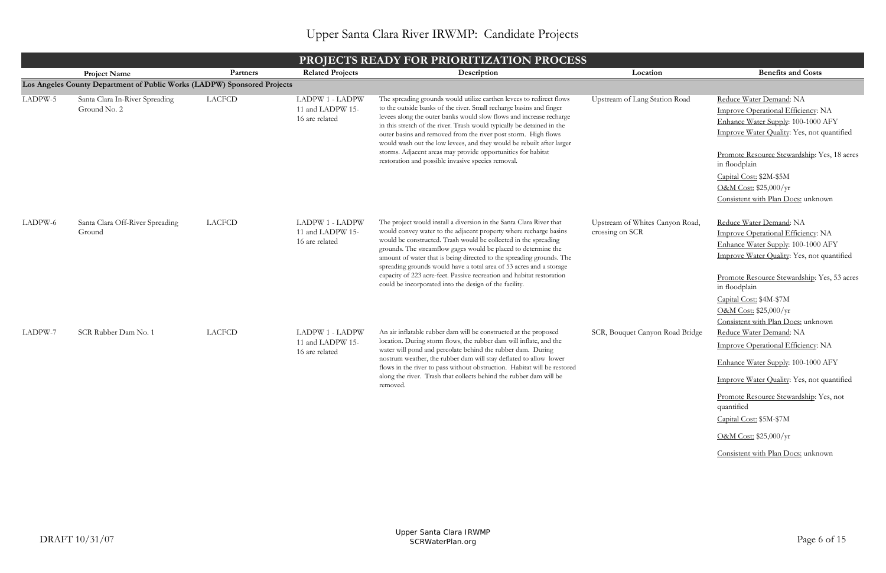|         | <b>PROJECTS READY FOR PRIORITIZATION PROCESS</b>                         |                                                                                                                                                                                                                                                                                                                                                                                                                                                                                                                                                           |                                                              |                                                                                                                                                                                                                                                                                                                                                                                                                                                                                                                                                                 |                                                    |                                                                                                                                                                                                  |  |  |  |
|---------|--------------------------------------------------------------------------|-----------------------------------------------------------------------------------------------------------------------------------------------------------------------------------------------------------------------------------------------------------------------------------------------------------------------------------------------------------------------------------------------------------------------------------------------------------------------------------------------------------------------------------------------------------|--------------------------------------------------------------|-----------------------------------------------------------------------------------------------------------------------------------------------------------------------------------------------------------------------------------------------------------------------------------------------------------------------------------------------------------------------------------------------------------------------------------------------------------------------------------------------------------------------------------------------------------------|----------------------------------------------------|--------------------------------------------------------------------------------------------------------------------------------------------------------------------------------------------------|--|--|--|
|         | <b>Project Name</b>                                                      | Partners                                                                                                                                                                                                                                                                                                                                                                                                                                                                                                                                                  | <b>Related Projects</b>                                      | Description                                                                                                                                                                                                                                                                                                                                                                                                                                                                                                                                                     | Location                                           | <b>Benefits and Costs</b>                                                                                                                                                                        |  |  |  |
|         | Los Angeles County Department of Public Works (LADPW) Sponsored Projects |                                                                                                                                                                                                                                                                                                                                                                                                                                                                                                                                                           |                                                              |                                                                                                                                                                                                                                                                                                                                                                                                                                                                                                                                                                 |                                                    |                                                                                                                                                                                                  |  |  |  |
| LADPW-5 | Santa Clara In-River Spreading<br>Ground No. 2                           | <b>LACFCD</b><br>The spreading grounds would utilize earthen levees to redirect flows<br><b>LADPW 1 - LADPW</b><br>Upstream of Lang Station Road<br>to the outside banks of the river. Small recharge basins and finger<br>11 and LADPW 15-<br>levees along the outer banks would slow flows and increase recharge<br>16 are related<br>in this stretch of the river. Trash would typically be detained in the<br>outer basins and removed from the river post storm. High flows<br>would wash out the low levees, and they would be rebuilt after larger |                                                              | Reduce Water Demand: NA<br>Improve Operational Efficiency: NA<br>Enhance Water Supply: 100-1000 AFY<br>Improve Water Quality: Yes, not quantified                                                                                                                                                                                                                                                                                                                                                                                                               |                                                    |                                                                                                                                                                                                  |  |  |  |
|         |                                                                          |                                                                                                                                                                                                                                                                                                                                                                                                                                                                                                                                                           |                                                              | storms. Adjacent areas may provide opportunities for habitat<br>restoration and possible invasive species removal.                                                                                                                                                                                                                                                                                                                                                                                                                                              |                                                    | Promote Resource Stewardship: Yes, 18 acres<br>in floodplain<br>Capital Cost: \$2M-\$5M<br>O&M Cost: \$25,000/yr<br>Consistent with Plan Docs: unknown                                           |  |  |  |
| LADPW-6 | Santa Clara Off-River Spreading<br>Ground                                | <b>LACFCD</b>                                                                                                                                                                                                                                                                                                                                                                                                                                                                                                                                             | <b>LADPW 1 - LADPW</b><br>11 and LADPW 15-<br>16 are related | The project would install a diversion in the Santa Clara River that<br>would convey water to the adjacent property where recharge basins<br>would be constructed. Trash would be collected in the spreading<br>grounds. The streamflow gages would be placed to determine the<br>amount of water that is being directed to the spreading grounds. The<br>spreading grounds would have a total area of 53 acres and a storage<br>capacity of 223 acre-feet. Passive recreation and habitat restoration<br>could be incorporated into the design of the facility. | Upstream of Whites Canyon Road,<br>crossing on SCR | Reduce Water Demand: NA<br>Improve Operational Efficiency: NA<br>Enhance Water Supply: 100-1000 AFY<br>Improve Water Quality: Yes, not quantified<br>Promote Resource Stewardship: Yes, 53 acres |  |  |  |
|         |                                                                          |                                                                                                                                                                                                                                                                                                                                                                                                                                                                                                                                                           |                                                              |                                                                                                                                                                                                                                                                                                                                                                                                                                                                                                                                                                 |                                                    | in floodplain<br>Capital Cost: \$4M-\$7M<br>O&M Cost: \$25,000/yr<br>Consistent with Plan Docs: unknown                                                                                          |  |  |  |
| LADPW-7 | SCR Rubber Dam No. 1                                                     | <b>LACFCD</b>                                                                                                                                                                                                                                                                                                                                                                                                                                                                                                                                             | LADPW 1 - LADPW<br>11 and LADPW 15-<br>16 are related        | An air inflatable rubber dam will be constructed at the proposed<br>location. During storm flows, the rubber dam will inflate, and the<br>water will pond and percolate behind the rubber dam. During<br>nostrum weather, the rubber dam will stay deflated to allow lower<br>flows in the river to pass without obstruction. Habitat will be restored                                                                                                                                                                                                          | SCR, Bouquet Canyon Road Bridge                    | Reduce Water Demand: NA<br>Improve Operational Efficiency: NA<br>Enhance Water Supply: 100-1000 AFY                                                                                              |  |  |  |
|         |                                                                          |                                                                                                                                                                                                                                                                                                                                                                                                                                                                                                                                                           |                                                              | along the river. Trash that collects behind the rubber dam will be<br>removed.                                                                                                                                                                                                                                                                                                                                                                                                                                                                                  |                                                    | Improve Water Quality: Yes, not quantified<br>Promote Resource Stewardship: Yes, not<br>quantified<br>Capital Cost: \$5M-\$7M<br>O&M Cost: \$25,000/yr                                           |  |  |  |
|         |                                                                          |                                                                                                                                                                                                                                                                                                                                                                                                                                                                                                                                                           |                                                              |                                                                                                                                                                                                                                                                                                                                                                                                                                                                                                                                                                 |                                                    | Consistent with Plan Docs: unknown                                                                                                                                                               |  |  |  |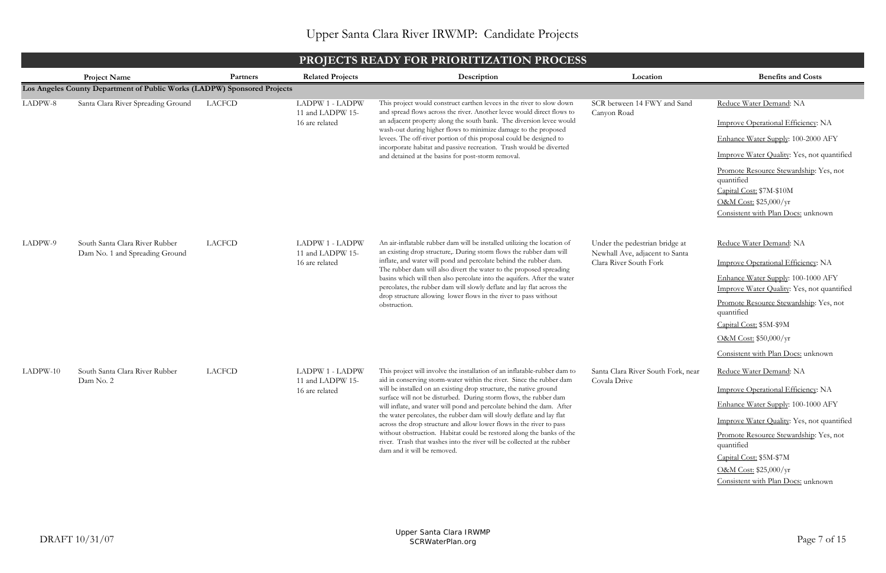|          | <b>PROJECTS READY FOR PRIORITIZATION PROCESS</b>                         |               |                                                              |                                                                                                                                                                                                                                                                                                                                                                                                                                                                                                                                                                                                                                                                                                           |                                                                                            |                                                                                                                                                                                                                                                                                                      |  |  |
|----------|--------------------------------------------------------------------------|---------------|--------------------------------------------------------------|-----------------------------------------------------------------------------------------------------------------------------------------------------------------------------------------------------------------------------------------------------------------------------------------------------------------------------------------------------------------------------------------------------------------------------------------------------------------------------------------------------------------------------------------------------------------------------------------------------------------------------------------------------------------------------------------------------------|--------------------------------------------------------------------------------------------|------------------------------------------------------------------------------------------------------------------------------------------------------------------------------------------------------------------------------------------------------------------------------------------------------|--|--|
|          | <b>Project Name</b>                                                      | Partners      | <b>Related Projects</b>                                      | Description                                                                                                                                                                                                                                                                                                                                                                                                                                                                                                                                                                                                                                                                                               | Location                                                                                   | <b>Benefits and Costs</b>                                                                                                                                                                                                                                                                            |  |  |
|          | Los Angeles County Department of Public Works (LADPW) Sponsored Projects |               |                                                              |                                                                                                                                                                                                                                                                                                                                                                                                                                                                                                                                                                                                                                                                                                           |                                                                                            |                                                                                                                                                                                                                                                                                                      |  |  |
| LADPW-8  | Santa Clara River Spreading Ground                                       | LACFCD        | <b>LADPW 1 - LADPW</b><br>11 and LADPW 15-<br>16 are related | This project would construct earthen levees in the river to slow down<br>and spread flows across the river. Another levee would direct flows to<br>an adjacent property along the south bank. The diversion levee would<br>wash-out during higher flows to minimize damage to the proposed<br>levees. The off-river portion of this proposal could be designed to<br>incorporate habitat and passive recreation. Trash would be diverted<br>and detained at the basins for post-storm removal.                                                                                                                                                                                                            | SCR between 14 FWY and Sand<br>Canyon Road                                                 | Reduce Water Demand: NA<br>Improve Operational Efficiency: NA<br>Enhance Water Supply: 100-2000 AFY<br>Improve Water Quality: Yes, not quantified<br>Promote Resource Stewardship: Yes, not<br>quantified<br>Capital Cost: \$7M-\$10M<br>O&M Cost: \$25,000/yr<br>Consistent with Plan Docs: unknown |  |  |
| LADPW-9  | South Santa Clara River Rubber<br>Dam No. 1 and Spreading Ground         | <b>LACFCD</b> | LADPW 1 - LADPW<br>11 and LADPW 15-<br>16 are related        | An air-inflatable rubber dam will be installed utilizing the location of<br>an existing drop structure,. During storm flows the rubber dam will<br>inflate, and water will pond and percolate behind the rubber dam.<br>The rubber dam will also divert the water to the proposed spreading<br>basins which will then also percolate into the aquifers. After the water<br>percolates, the rubber dam will slowly deflate and lay flat across the<br>drop structure allowing lower flows in the river to pass without<br>obstruction.                                                                                                                                                                     | Under the pedestrian bridge at<br>Newhall Ave, adjacent to Santa<br>Clara River South Fork | Reduce Water Demand: NA<br>Improve Operational Efficiency: NA<br>Enhance Water Supply: 100-1000 AFY<br>Improve Water Quality: Yes, not quantified<br>Promote Resource Stewardship: Yes, not<br>quantified<br>Capital Cost: \$5M-\$9M<br>O&M Cost: \$50,000/yr<br>Consistent with Plan Docs: unknown  |  |  |
| LADPW-10 | South Santa Clara River Rubber<br>Dam No. 2                              | <b>LACFCD</b> | <b>LADPW 1 - LADPW</b><br>11 and LADPW 15-<br>16 are related | This project will involve the installation of an inflatable-rubber dam to<br>aid in conserving storm-water within the river. Since the rubber dam<br>will be installed on an existing drop structure, the native ground<br>surface will not be disturbed. During storm flows, the rubber dam<br>will inflate, and water will pond and percolate behind the dam. After<br>the water percolates, the rubber dam will slowly deflate and lay flat<br>across the drop structure and allow lower flows in the river to pass<br>without obstruction. Habitat could be restored along the banks of the<br>river. Trash that washes into the river will be collected at the rubber<br>dam and it will be removed. | Santa Clara River South Fork, near<br>Covala Drive                                         | Reduce Water Demand: NA<br>Improve Operational Efficiency: NA<br>Enhance Water Supply: 100-1000 AFY<br>Improve Water Quality: Yes, not quantified<br>Promote Resource Stewardship: Yes, not<br>quantified<br>Capital Cost: \$5M-\$7M<br>O&M Cost: \$25,000/yr<br>Consistent with Plan Docs: unknown  |  |  |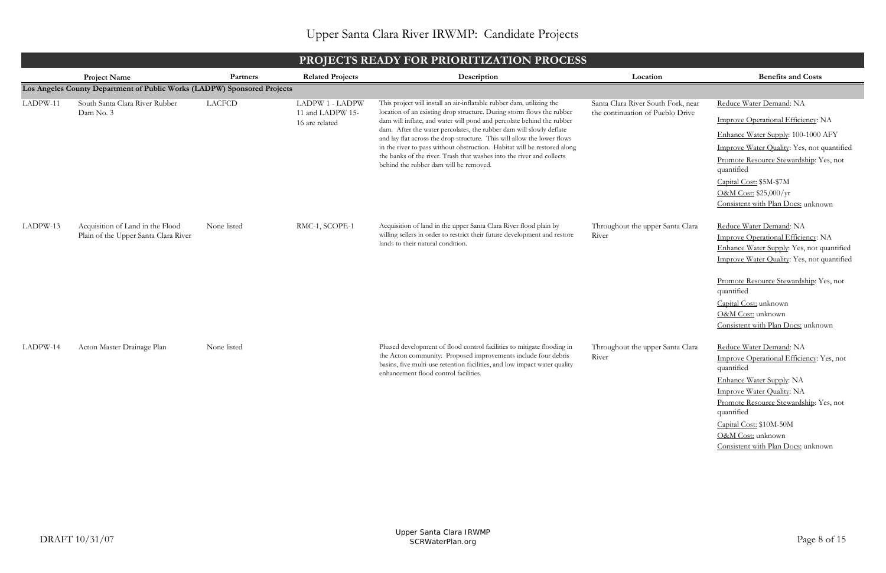|          | <b>PROJECTS READY FOR PRIORITIZATION PROCESS</b>                         |               |                                    |                                                                                                                                                |                                    |                                                                     |  |  |  |  |
|----------|--------------------------------------------------------------------------|---------------|------------------------------------|------------------------------------------------------------------------------------------------------------------------------------------------|------------------------------------|---------------------------------------------------------------------|--|--|--|--|
|          | <b>Project Name</b>                                                      | Partners      | <b>Related Projects</b>            | Description                                                                                                                                    | Location                           | <b>Benefits and Costs</b>                                           |  |  |  |  |
|          | Los Angeles County Department of Public Works (LADPW) Sponsored Projects |               |                                    |                                                                                                                                                |                                    |                                                                     |  |  |  |  |
| LADPW-11 | South Santa Clara River Rubber                                           | <b>LACFCD</b> | LADPW 1 - LADPW                    | This project will install an air-inflatable rubber dam, utilizing the                                                                          | Santa Clara River South Fork, near | Reduce Water Demand: NA                                             |  |  |  |  |
|          | Dam No. 3                                                                |               | 11 and LADPW 15-<br>16 are related | location of an existing drop structure. During storm flows the rubber<br>dam will inflate, and water will pond and percolate behind the rubber | the continuation of Pueblo Drive   | Improve Operational Efficiency: NA                                  |  |  |  |  |
|          |                                                                          |               |                                    | dam. After the water percolates, the rubber dam will slowly deflate<br>and lay flat across the drop structure. This will allow the lower flows |                                    | Enhance Water Supply: 100-1000 AFY                                  |  |  |  |  |
|          |                                                                          |               |                                    | in the river to pass without obstruction. Habitat will be restored along                                                                       |                                    | Improve Water Quality: Yes, not quantified                          |  |  |  |  |
|          |                                                                          |               |                                    | the banks of the river. Trash that washes into the river and collects<br>behind the rubber dam will be removed.                                |                                    | Promote Resource Stewardship: Yes, not<br>quantified                |  |  |  |  |
|          |                                                                          |               |                                    |                                                                                                                                                |                                    | Capital Cost: \$5M-\$7M                                             |  |  |  |  |
|          |                                                                          |               |                                    |                                                                                                                                                |                                    | O&M Cost: \$25,000/yr                                               |  |  |  |  |
|          |                                                                          |               |                                    |                                                                                                                                                |                                    | Consistent with Plan Docs: unknown                                  |  |  |  |  |
| LADPW-13 | Acquisition of Land in the Flood                                         | None listed   | RMC-1, SCOPE-1                     | Acquisition of land in the upper Santa Clara River flood plain by                                                                              | Throughout the upper Santa Clara   | Reduce Water Demand: NA                                             |  |  |  |  |
|          | Plain of the Upper Santa Clara River                                     |               |                                    | willing sellers in order to restrict their future development and restore<br>lands to their natural condition.                                 | River                              | Improve Operational Efficiency: NA                                  |  |  |  |  |
|          |                                                                          |               |                                    |                                                                                                                                                |                                    | Enhance Water Supply: Yes, not quantified                           |  |  |  |  |
|          |                                                                          |               |                                    |                                                                                                                                                |                                    | Improve Water Quality: Yes, not quantified                          |  |  |  |  |
|          |                                                                          |               |                                    |                                                                                                                                                |                                    | Promote Resource Stewardship: Yes, not<br>quantified                |  |  |  |  |
|          |                                                                          |               |                                    |                                                                                                                                                |                                    | Capital Cost: unknown                                               |  |  |  |  |
|          |                                                                          |               |                                    |                                                                                                                                                |                                    | O&M Cost: unknown                                                   |  |  |  |  |
|          |                                                                          |               |                                    |                                                                                                                                                |                                    | Consistent with Plan Docs: unknown                                  |  |  |  |  |
| LADPW-14 | Acton Master Drainage Plan                                               | None listed   |                                    | Phased development of flood control facilities to mitigate flooding in                                                                         | Throughout the upper Santa Clara   | Reduce Water Demand: NA                                             |  |  |  |  |
|          |                                                                          |               |                                    | the Acton community. Proposed improvements include four debris<br>basins, five multi-use retention facilities, and low impact water quality    | River                              | Improve Operational Efficiency: Yes, not                            |  |  |  |  |
|          |                                                                          |               |                                    | enhancement flood control facilities.                                                                                                          |                                    | quantified                                                          |  |  |  |  |
|          |                                                                          |               |                                    |                                                                                                                                                |                                    | Enhance Water Supply: NA                                            |  |  |  |  |
|          |                                                                          |               |                                    |                                                                                                                                                |                                    | Improve Water Quality: NA<br>Promote Resource Stewardship: Yes, not |  |  |  |  |
|          |                                                                          |               |                                    |                                                                                                                                                |                                    | quantified                                                          |  |  |  |  |
|          |                                                                          |               |                                    |                                                                                                                                                |                                    | Capital Cost: \$10M-50M                                             |  |  |  |  |
|          |                                                                          |               |                                    |                                                                                                                                                |                                    | O&M Cost: unknown                                                   |  |  |  |  |
|          |                                                                          |               |                                    |                                                                                                                                                |                                    | Consistent with Plan Docs: unknown                                  |  |  |  |  |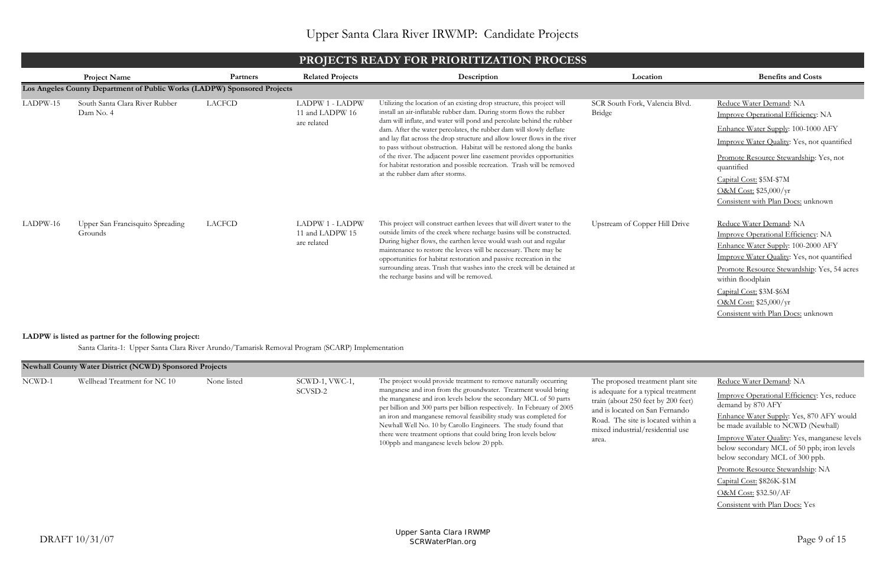Reduce Water Demand: NA

Improve Operational Efficiency: Yes, reduce demand by 870 AFY Enhance Water Supply: Yes, 870 AFY would be made available to NCWD (Newhall) Improve Water Quality: Yes, manganese levels below secondary MCL of 50 ppb; iron levels below secondary MCL of 300 ppb. Promote Resource Stewardship: NA Capital Cost: \$826K-\$1M O&M Cost: \$32.50/AF Consistent with Plan Docs: Yes

|          | THOILCIS KLAD I TOK I KIOKI ILLATION I KOGLOS                            |          |                                                          |                                                                                                                                                                                                                                                                                                                                                                                                                                                                                                                                                                                                                                            |                                          |                                                                                                                                                                                                                                                                                                                 |  |  |  |
|----------|--------------------------------------------------------------------------|----------|----------------------------------------------------------|--------------------------------------------------------------------------------------------------------------------------------------------------------------------------------------------------------------------------------------------------------------------------------------------------------------------------------------------------------------------------------------------------------------------------------------------------------------------------------------------------------------------------------------------------------------------------------------------------------------------------------------------|------------------------------------------|-----------------------------------------------------------------------------------------------------------------------------------------------------------------------------------------------------------------------------------------------------------------------------------------------------------------|--|--|--|
|          | <b>Project Name</b>                                                      | Partners | <b>Related Projects</b>                                  | Description                                                                                                                                                                                                                                                                                                                                                                                                                                                                                                                                                                                                                                | Location                                 | <b>Benefits and Costs</b>                                                                                                                                                                                                                                                                                       |  |  |  |
|          | Los Angeles County Department of Public Works (LADPW) Sponsored Projects |          |                                                          |                                                                                                                                                                                                                                                                                                                                                                                                                                                                                                                                                                                                                                            |                                          |                                                                                                                                                                                                                                                                                                                 |  |  |  |
| LADPW-15 | South Santa Clara River Rubber<br>Dam No. 4                              | LACFCD   | <b>LADPW 1 - LADPW</b><br>11 and LADPW 16<br>are related | Utilizing the location of an existing drop structure, this project will<br>install an air-inflatable rubber dam. During storm flows the rubber<br>dam will inflate, and water will pond and percolate behind the rubber<br>dam. After the water percolates, the rubber dam will slowly deflate<br>and lay flat across the drop structure and allow lower flows in the river<br>to pass without obstruction. Habitat will be restored along the banks<br>of the river. The adjacent power line easement provides opportunities<br>for habitat restoration and possible recreation. Trash will be removed<br>at the rubber dam after storms. | SCR South Fork, Valencia Blvd.<br>Bridge | Reduce Water Demand: NA<br>Improve Operational Efficiency: NA<br>Enhance Water Supply: 100-1000 AFY<br>Improve Water Quality: Yes, not quantified<br>Promote Resource Stewardship: Yes, not<br>quantified<br>Capital Cost: \$5M-\$7M<br>O&M Cost: \$25,000/yr<br>Consistent with Plan Docs: unknown             |  |  |  |
| LADPW-16 | Upper San Francisquito Spreading<br>Grounds                              | LACFCD   | <b>LADPW 1 - LADPW</b><br>11 and LADPW 15<br>are related | This project will construct earthen levees that will divert water to the<br>outside limits of the creek where recharge basins will be constructed.<br>During higher flows, the earthen levee would wash out and regular<br>maintenance to restore the levees will be necessary. There may be<br>opportunities for habitat restoration and passive recreation in the<br>surrounding areas. Trash that washes into the creek will be detained at<br>the recharge basins and will be removed.                                                                                                                                                 | Upstream of Copper Hill Drive            | Reduce Water Demand: NA<br>Improve Operational Efficiency: NA<br>Enhance Water Supply: 100-2000 AFY<br>Improve Water Quality: Yes, not quantified<br>Promote Resource Stewardship: Yes, 54 acres<br>within floodplain<br>Capital Cost: \$3M-\$6M<br>O&M Cost: \$25,000/yr<br>Consistent with Plan Docs: unknown |  |  |  |

# **PROJECTS READY FOR PRIORITIZATION PROCESS**

Santa Clarita-1: Upper Santa Clara River Arundo/Tamarisk Removal Program (SCARP) Implementation

#### **LADPW is listed as partner for the following project:**

|        | <b>Newhall County Water District (NCWD) Sponsored Projects</b> |             |                           |                                                                                                                                                                                                                                                                                                                                                                                                                                                                                                                                            |                                                                                                                                                                                                                                     |
|--------|----------------------------------------------------------------|-------------|---------------------------|--------------------------------------------------------------------------------------------------------------------------------------------------------------------------------------------------------------------------------------------------------------------------------------------------------------------------------------------------------------------------------------------------------------------------------------------------------------------------------------------------------------------------------------------|-------------------------------------------------------------------------------------------------------------------------------------------------------------------------------------------------------------------------------------|
| NCWD-1 | Wellhead Treatment for NC 10                                   | None listed | SCWD-1, VWC-1,<br>SCVSD-2 | The project would provide treatment to remove naturally occurring<br>manganese and iron from the groundwater. Treatment would bring<br>the manganese and iron levels below the secondary MCL of 50 parts<br>per billion and 300 parts per billion respectively. In February of 2005<br>an iron and manganese removal feasibility study was completed for<br>Newhall Well No. 10 by Carollo Engineers. The study found that<br>there were treatment options that could bring Iron levels below<br>100ppb and manganese levels below 20 ppb. | The proposed treatment plant site<br>is adequate for a typical treatment<br>train (about 250 feet by 200 feet)<br>and is located on San Fernando<br>Road. The site is located within a<br>mixed industrial/residential use<br>area. |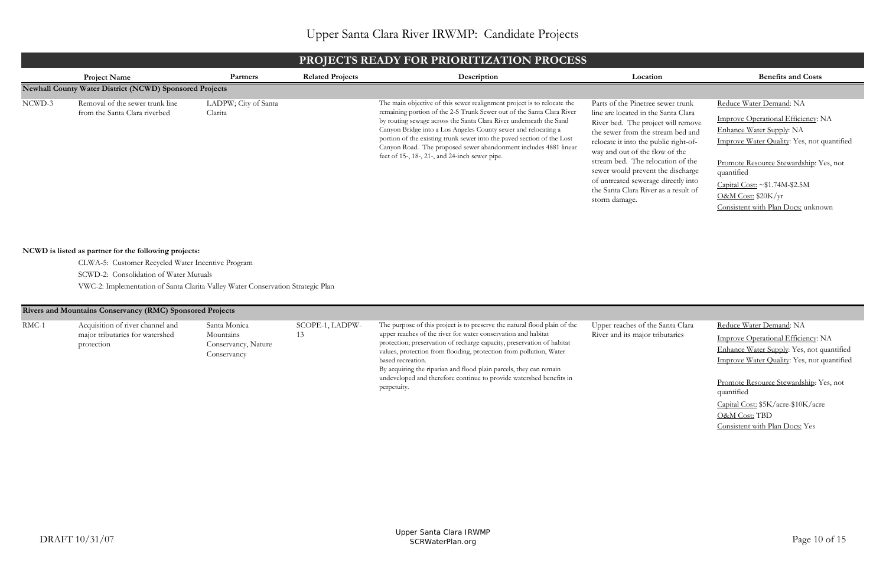| ie Santa Clara | Reduce Water Demand: NA                    |
|----------------|--------------------------------------------|
| tributaries    | Improve Operational Efficiency: NA         |
|                | Enhance Water Supply: Yes, not quantified  |
|                | Improve Water Quality: Yes, not quantified |
|                |                                            |
|                | Promote Resource Stewardship: Yes, not     |
|                | quantified                                 |
|                | Capital Cost: \$5K/acre-\$10K/acre         |
|                | O&M Cost: TBD                              |
|                | Consistent with Plan Docs: Yes             |
|                |                                            |
|                |                                            |

## **PROJECTS READY FOR PRIORITIZATION PROCESS**

## **Rivers and Mountains Conservancy (RMC) Sponsored Projects**

CLWA-5: Customer Recycled Water Incentive Program

VWC-2: Implementation of Santa Clarita Valley Water Conservation Strategic Plan

RMC-1 Acquisition of river channel and major tributaries for watershed protection

|        | PROJECTS READY FOR PRIORITIZATION PROCESS                        |                                 |                         |                                                                                                                                                                                                                                                                                                                                                                                                                                                                                          |                                                                                                                                                                                                                                                                                                                                                                                                          |                                                                                                                                                                                                                                                                                                            |  |  |  |
|--------|------------------------------------------------------------------|---------------------------------|-------------------------|------------------------------------------------------------------------------------------------------------------------------------------------------------------------------------------------------------------------------------------------------------------------------------------------------------------------------------------------------------------------------------------------------------------------------------------------------------------------------------------|----------------------------------------------------------------------------------------------------------------------------------------------------------------------------------------------------------------------------------------------------------------------------------------------------------------------------------------------------------------------------------------------------------|------------------------------------------------------------------------------------------------------------------------------------------------------------------------------------------------------------------------------------------------------------------------------------------------------------|--|--|--|
|        | <b>Project Name</b>                                              | Partners                        | <b>Related Projects</b> | Description                                                                                                                                                                                                                                                                                                                                                                                                                                                                              | Location                                                                                                                                                                                                                                                                                                                                                                                                 | <b>Benefits and Costs</b>                                                                                                                                                                                                                                                                                  |  |  |  |
|        | <b>Newhall County Water District (NCWD) Sponsored Projects</b>   |                                 |                         |                                                                                                                                                                                                                                                                                                                                                                                                                                                                                          |                                                                                                                                                                                                                                                                                                                                                                                                          |                                                                                                                                                                                                                                                                                                            |  |  |  |
| NCWD-3 | Removal of the sewer trunk line<br>from the Santa Clara riverbed | LADPW; City of Santa<br>Clarita |                         | The main objective of this sewer realignment project is to relocate the<br>remaining portion of the 2-S Trunk Sewer out of the Santa Clara River<br>by routing sewage across the Santa Clara River underneath the Sand<br>Canyon Bridge into a Los Angeles County sewer and relocating a<br>portion of the existing trunk sewer into the paved section of the Lost<br>Canyon Road. The proposed sewer abandonment includes 4881 linear<br>feet of 15-, 18-, 21-, and 24-inch sewer pipe. | Parts of the Pinetree sewer trunk<br>line are located in the Santa Clara<br>River bed. The project will remove<br>the sewer from the stream bed and<br>relocate it into the public right-of-<br>way and out of the flow of the<br>stream bed. The relocation of the<br>sewer would prevent the discharge<br>of untreated sewerage directly into<br>the Santa Clara River as a result of<br>storm damage. | Reduce Water Demand: NA<br>Improve Operational Efficiency: NA<br><b>Enhance Water Supply: NA</b><br>Improve Water Quality: Yes, not quantified<br>Promote Resource Stewardship: Yes, not<br>quantified<br>Capital Cost: $\sim $1.74M$$ -\$2.5M<br>O&M Cost: \$20K/yr<br>Consistent with Plan Docs: unknown |  |  |  |

### **NCWD is listed as partner for the following projects:**

SCWD-2: Consolidation of Water Mutuals

Santa Monica Mountains Conservancy, Nature Conservancy

SCOPE-1, LADPW-

13

The purpose of this project is to preserve the natural flood plain of the upper reaches of the river for water conservation and habitat protection; preservation of recharge capacity, preservation of habitat values, protection from flooding, protection from pollution, Water based recreation. By acquiring the riparian and flood plain parcels, they can remain undeveloped and therefore continue to provide watershed benefits in

Upper reaches of the River and its major

perpetuity.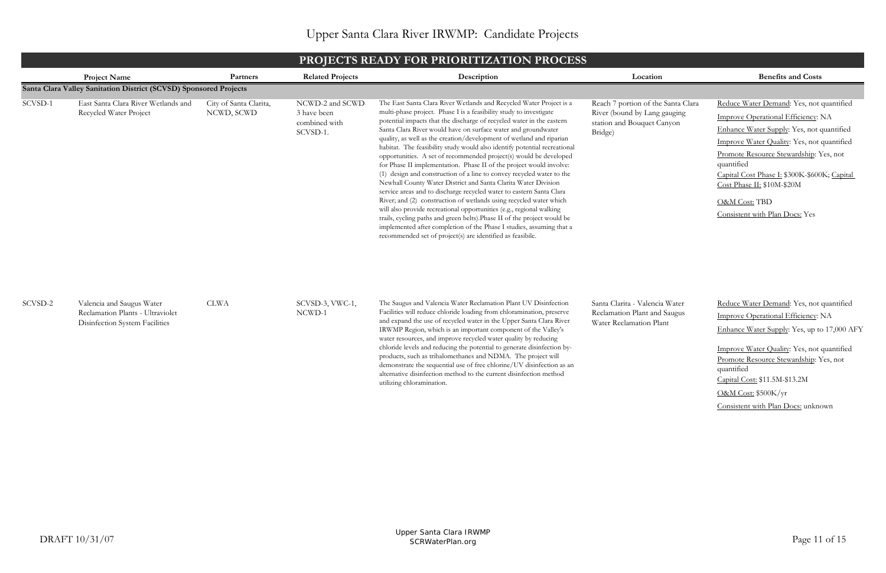# **PROJECTS READY FOR PRIORITIZATION PROCESS**

|         |                                                                                                 |                                      |                                                              | PROJECTS READT FOR PRIORITIZATION PROCESS                                                                                                                                                                                                                                                                                                                                                                                                                                                                                                                                                                                                                                                                                                                                                                                                                                                                                                                                                                                                                                                                                                                               |                                                                                                             |                                                                                                                                                                                                                                                                                                                                                                    |
|---------|-------------------------------------------------------------------------------------------------|--------------------------------------|--------------------------------------------------------------|-------------------------------------------------------------------------------------------------------------------------------------------------------------------------------------------------------------------------------------------------------------------------------------------------------------------------------------------------------------------------------------------------------------------------------------------------------------------------------------------------------------------------------------------------------------------------------------------------------------------------------------------------------------------------------------------------------------------------------------------------------------------------------------------------------------------------------------------------------------------------------------------------------------------------------------------------------------------------------------------------------------------------------------------------------------------------------------------------------------------------------------------------------------------------|-------------------------------------------------------------------------------------------------------------|--------------------------------------------------------------------------------------------------------------------------------------------------------------------------------------------------------------------------------------------------------------------------------------------------------------------------------------------------------------------|
|         | <b>Project Name</b>                                                                             | Partners                             | <b>Related Projects</b>                                      | Description                                                                                                                                                                                                                                                                                                                                                                                                                                                                                                                                                                                                                                                                                                                                                                                                                                                                                                                                                                                                                                                                                                                                                             | Location                                                                                                    | <b>Benefits and Costs</b>                                                                                                                                                                                                                                                                                                                                          |
|         | Santa Clara Valley Sanitation District (SCVSD) Sponsored Projects                               |                                      |                                                              |                                                                                                                                                                                                                                                                                                                                                                                                                                                                                                                                                                                                                                                                                                                                                                                                                                                                                                                                                                                                                                                                                                                                                                         |                                                                                                             |                                                                                                                                                                                                                                                                                                                                                                    |
| SCVSD-1 | East Santa Clara River Wetlands and<br>Recycled Water Project                                   | City of Santa Clarita,<br>NCWD, SCWD | NCWD-2 and SCWD-<br>3 have been<br>combined with<br>SCVSD-1. | The East Santa Clara River Wetlands and Recycled Water Project is a<br>multi-phase project. Phase I is a feasibility study to investigate<br>potential impacts that the discharge of recycled water in the eastern<br>Santa Clara River would have on surface water and groundwater<br>quality, as well as the creation/development of wetland and riparian<br>habitat. The feasibility study would also identify potential recreational<br>opportunities. A set of recommended project(s) would be developed<br>for Phase II implementation. Phase II of the project would involve:<br>(1) design and construction of a line to convey recycled water to the<br>Newhall County Water District and Santa Clarita Water Division<br>service areas and to discharge recycled water to eastern Santa Clara<br>River; and (2) construction of wetlands using recycled water which<br>will also provide recreational opportunities (e.g., regional walking<br>trails, cycling paths and green belts). Phase II of the project would be<br>implemented after completion of the Phase I studies, assuming that a<br>recommended set of project(s) are identified as feasibile. | Reach 7 portion of the Santa Clara<br>River (bound by Lang gauging<br>station and Bouquet Canyon<br>Bridge) | Reduce Water Demand: Yes, not quantified<br>Improve Operational Efficiency: NA<br>Enhance Water Supply: Yes, not quantified<br>Improve Water Quality: Yes, not quantified<br>Promote Resource Stewardship: Yes, not<br>quantified<br>Capital Cost Phase I: \$300K-\$600K; Capital<br>Cost Phase II: \$10M-\$20M<br>O&M Cost: TBD<br>Consistent with Plan Docs: Yes |
| SCVSD-2 | Valencia and Saugus Water<br>Reclamation Plants - Ultraviolet<br>Disinfection System Facilities | <b>CLWA</b>                          | SCVSD-3, VWC-1,<br>NCWD-1                                    | The Saugus and Valencia Water Reclamation Plant UV Disinfection<br>Facilities will reduce chloride loading from chloramination, preserve<br>and expand the use of recycled water in the Upper Santa Clara River<br>IRWMP Region, which is an important component of the Valley's<br>water resources, and improve recycled water quality by reducing<br>chloride levels and reducing the potential to generate disinfection by-<br>products, such as trihalomethanes and NDMA. The project will<br>demonstrate the sequential use of free chlorine/UV disinfection as an<br>alternative disinfection method to the current disinfection method<br>utilizing chloramination.                                                                                                                                                                                                                                                                                                                                                                                                                                                                                              | Santa Clarita - Valencia Water<br>Reclamation Plant and Saugus<br>Water Reclamation Plant                   | Reduce Water Demand: Yes, not quantified<br>Improve Operational Efficiency: NA<br>Enhance Water Supply: Yes, up to 17,000 AFY<br>Improve Water Quality: Yes, not quantified<br>Promote Resource Stewardship: Yes, not<br>quantified<br>Capital Cost: \$11.5M-\$13.2M<br>O&M Cost: \$500K/yr<br>Consistent with Plan Docs: unknown                                  |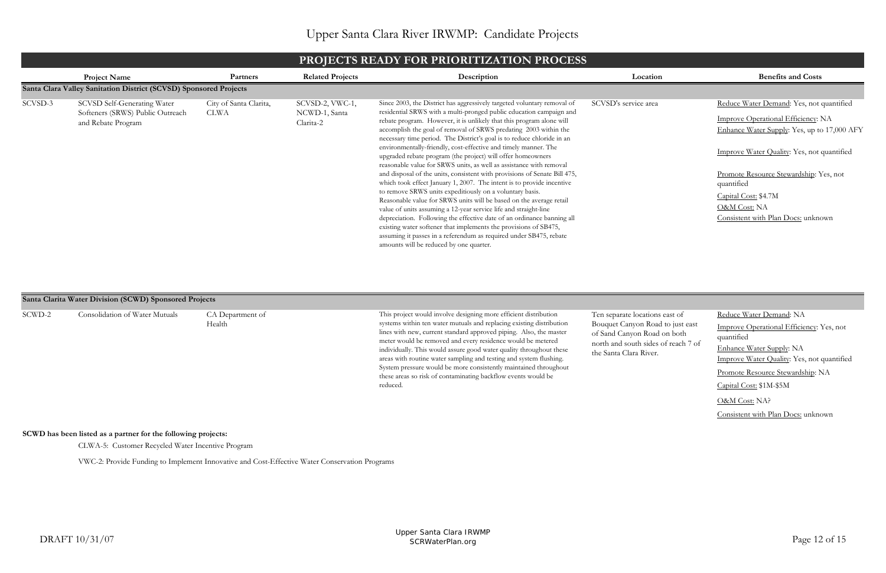| ion | <b>Benefits and Costs</b>                            |
|-----|------------------------------------------------------|
|     |                                                      |
| ea  | Reduce Water Demand: Yes, not quantified             |
|     | <b>Improve Operational Efficiency: NA</b>            |
|     | Enhance Water Supply: Yes, up to 17,000 AFY          |
|     | <b>Improve Water Quality:</b> Yes, not quantified    |
|     | Promote Resource Stewardship: Yes, not<br>quantified |
|     | Capital Cost: \$4.7M                                 |
|     | <u>O&amp;M Cost:</u> NA                              |
|     | Consistent with Plan Docs: unknown                   |
|     |                                                      |

| ons east of                    | Reduce Water Demand: NA                                       |
|--------------------------------|---------------------------------------------------------------|
| oad to just east<br>ad on both | <b>Improve Operational Efficiency: Yes, not</b><br>quantified |
| les of reach 7 of<br>er.       | <b>Enhance Water Supply: NA</b>                               |
|                                | <b>Improve Water Quality: Yes, not quantified</b>             |
|                                | <u>Promote Resource Stewardship</u> : NA                      |
|                                | Capital Cost: \$1M-\$5M                                       |
|                                | O&M Cost: NA?                                                 |
|                                | Consistent with Plan Docs: unknown                            |

## **PROJECTS READY FOR PRIORITIZATION PROCESS**

VWC-2: Provide Funding to Implement Innovative and Cost-Effective Water Conservation Programs

## **SCWD has been listed as a partner for the following projects:**

CLWA-5: Customer Recycled Water Incentive Program

|         | PROJECTS READY FOR PRIORITIZATION PROCESS                                                    |                                       |                                               |                                                                                                                                                                                                                                                                                                                                                                                                                                                                                                                                                                                                                                                                                                                                                                                                                                                                                                                                                                                                                                                                                                                                                                                                           |                      |                                                                                                                                                                                                                                                                      |  |  |
|---------|----------------------------------------------------------------------------------------------|---------------------------------------|-----------------------------------------------|-----------------------------------------------------------------------------------------------------------------------------------------------------------------------------------------------------------------------------------------------------------------------------------------------------------------------------------------------------------------------------------------------------------------------------------------------------------------------------------------------------------------------------------------------------------------------------------------------------------------------------------------------------------------------------------------------------------------------------------------------------------------------------------------------------------------------------------------------------------------------------------------------------------------------------------------------------------------------------------------------------------------------------------------------------------------------------------------------------------------------------------------------------------------------------------------------------------|----------------------|----------------------------------------------------------------------------------------------------------------------------------------------------------------------------------------------------------------------------------------------------------------------|--|--|
|         | <b>Project Name</b>                                                                          | Partners                              | <b>Related Projects</b>                       | Description                                                                                                                                                                                                                                                                                                                                                                                                                                                                                                                                                                                                                                                                                                                                                                                                                                                                                                                                                                                                                                                                                                                                                                                               | Location             | <b>Benefits and Costs</b>                                                                                                                                                                                                                                            |  |  |
|         | Santa Clara Valley Sanitation District (SCVSD) Sponsored Projects                            |                                       |                                               |                                                                                                                                                                                                                                                                                                                                                                                                                                                                                                                                                                                                                                                                                                                                                                                                                                                                                                                                                                                                                                                                                                                                                                                                           |                      |                                                                                                                                                                                                                                                                      |  |  |
| SCVSD-3 | <b>SCVSD Self-Generating Water</b><br>Softeners (SRWS) Public Outreach<br>and Rebate Program | City of Santa Clarita,<br><b>CLWA</b> | SCVSD-2, VWC-1,<br>NCWD-1, Santa<br>Clarita-2 | Since 2003, the District has aggressively targeted voluntary removal of<br>residential SRWS with a multi-pronged public education campaign and<br>rebate program. However, it is unlikely that this program alone will<br>accomplish the goal of removal of SRWS predating 2003 within the<br>necessary time period. The District's goal is to reduce chloride in an<br>environmentally-friendly, cost-effective and timely manner. The<br>upgraded rebate program (the project) will offer homeowners<br>reasonable value for SRWS units, as well as assistance with removal<br>and disposal of the units, consistent with provisions of Senate Bill 475,<br>which took effect January 1, 2007. The intent is to provide incentive<br>to remove SRWS units expeditiously on a voluntary basis.<br>Reasonable value for SRWS units will be based on the average retail<br>value of units assuming a 12-year service life and straight-line<br>depreciation. Following the effective date of an ordinance banning all<br>existing water softener that implements the provisions of SB475,<br>assuming it passes in a referendum as required under SB475, rebate<br>amounts will be reduced by one quarter. | SCVSD's service area | Reduce Water Demand: Yes, not<br>Improve Operational Efficiency:<br>Enhance Water Supply: Yes, up to<br>Improve Water Quality: Yes, not<br>Promote Resource Stewardship: Y<br>quantified<br>Capital Cost: \$4.7M<br>O&M Cost: NA<br>Consistent with Plan Docs: unkno |  |  |
|         |                                                                                              |                                       |                                               |                                                                                                                                                                                                                                                                                                                                                                                                                                                                                                                                                                                                                                                                                                                                                                                                                                                                                                                                                                                                                                                                                                                                                                                                           |                      |                                                                                                                                                                                                                                                                      |  |  |

|        | Santa Clarita Water Division (SCWD) Sponsored Projects |                            |                                                                                                                                                                                                                                                                                                                                                                                                                                                                                                                                                                             |                                                                                                                                                                    |  |  |  |  |
|--------|--------------------------------------------------------|----------------------------|-----------------------------------------------------------------------------------------------------------------------------------------------------------------------------------------------------------------------------------------------------------------------------------------------------------------------------------------------------------------------------------------------------------------------------------------------------------------------------------------------------------------------------------------------------------------------------|--------------------------------------------------------------------------------------------------------------------------------------------------------------------|--|--|--|--|
| SCWD-2 | <b>Consolidation of Water Mutuals</b>                  | CA Department of<br>Health | This project would involve designing more efficient distribution<br>systems within ten water mutuals and replacing existing distribution<br>lines with new, current standard approved piping. Also, the master<br>meter would be removed and every residence would be metered<br>individually. This would assure good water quality throughout these<br>areas with routine water sampling and testing and system flushing.<br>System pressure would be more consistently maintained throughout<br>these areas so risk of contaminating backflow events would be<br>reduced. | Ten separate locations east of<br>Bouquet Canyon Road to just east<br>of Sand Canyon Road on both<br>north and south sides of reach 7 of<br>the Santa Clara River. |  |  |  |  |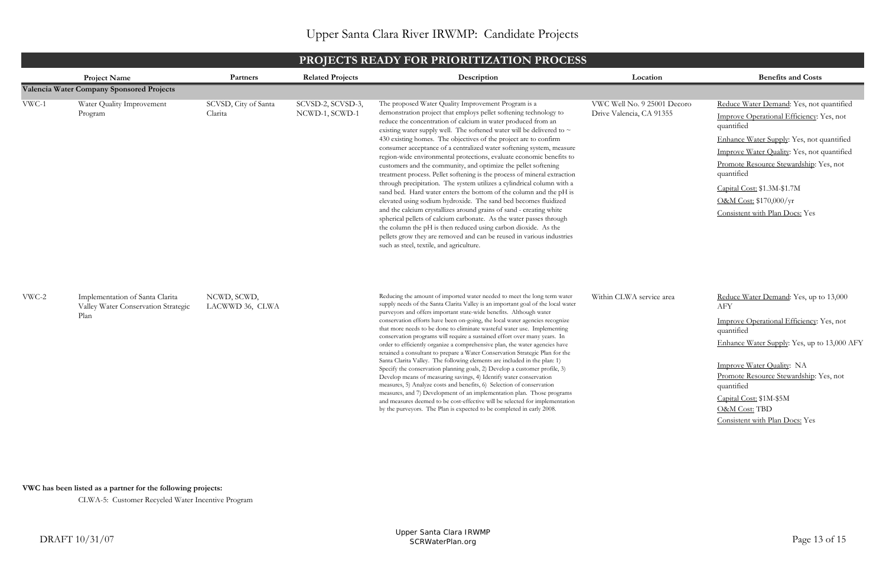**VWC has been listed as a partner for the following projects:**

CLWA-5: Customer Recycled Water Incentive Program

|         | PROJECTS READY FOR PRIORITIZATION PROCESS                                      |                                 |                                     |                                                                                                                                                                                                                                                                                                                                                                                                                                                                                                                                                                                                                                                                                                                                                                                                                                                                                                                                                                                                                                                                                                                                                                                                   |                                                         |                                                                                                                                                                                                                                                                                                                                                  |  |  |
|---------|--------------------------------------------------------------------------------|---------------------------------|-------------------------------------|---------------------------------------------------------------------------------------------------------------------------------------------------------------------------------------------------------------------------------------------------------------------------------------------------------------------------------------------------------------------------------------------------------------------------------------------------------------------------------------------------------------------------------------------------------------------------------------------------------------------------------------------------------------------------------------------------------------------------------------------------------------------------------------------------------------------------------------------------------------------------------------------------------------------------------------------------------------------------------------------------------------------------------------------------------------------------------------------------------------------------------------------------------------------------------------------------|---------------------------------------------------------|--------------------------------------------------------------------------------------------------------------------------------------------------------------------------------------------------------------------------------------------------------------------------------------------------------------------------------------------------|--|--|
|         | <b>Project Name</b>                                                            | Partners                        | <b>Related Projects</b>             | Description                                                                                                                                                                                                                                                                                                                                                                                                                                                                                                                                                                                                                                                                                                                                                                                                                                                                                                                                                                                                                                                                                                                                                                                       | Location                                                | <b>Benefits and Costs</b>                                                                                                                                                                                                                                                                                                                        |  |  |
|         | Valencia Water Company Sponsored Projects                                      |                                 |                                     |                                                                                                                                                                                                                                                                                                                                                                                                                                                                                                                                                                                                                                                                                                                                                                                                                                                                                                                                                                                                                                                                                                                                                                                                   |                                                         |                                                                                                                                                                                                                                                                                                                                                  |  |  |
| $VWC-1$ | Water Quality Improvement<br>Program                                           | SCVSD, City of Santa<br>Clarita | SCVSD-2, SCVSD-3,<br>NCWD-1, SCWD-1 | The proposed Water Quality Improvement Program is a<br>demonstration project that employs pellet softening technology to<br>reduce the concentration of calcium in water produced from an<br>existing water supply well. The softened water will be delivered to $\sim$<br>430 existing homes. The objectives of the project are to confirm<br>consumer acceptance of a centralized water softening system, measure<br>region-wide environmental protections, evaluate economic benefits to<br>customers and the community, and optimize the pellet softening<br>treatment process. Pellet softening is the process of mineral extraction<br>through precipitation. The system utilizes a cylindrical column with a<br>sand bed. Hard water enters the bottom of the column and the pH is<br>elevated using sodium hydroxide. The sand bed becomes fluidized<br>and the calcium crystallizes around grains of sand - creating white<br>spherical pellets of calcium carbonate. As the water passes through<br>the column the pH is then reduced using carbon dioxide. As the<br>pellets grow they are removed and can be reused in various industries<br>such as steel, textile, and agriculture. | VWC Well No. 9 25001 Decoro<br>Drive Valencia, CA 91355 | Reduce Water Demand: Yes, not quantified<br>Improve Operational Efficiency: Yes, not<br>quantified<br>Enhance Water Supply: Yes, not quantified<br>Improve Water Quality: Yes, not quantified<br>Promote Resource Stewardship: Yes, not<br>quantified<br>Capital Cost: \$1.3M-\$1.7M<br>O&M Cost: \$170,000/yr<br>Consistent with Plan Docs: Yes |  |  |
| VWC-2   | Implementation of Santa Clarita<br>Valley Water Conservation Strategic<br>Plan | NCWD, SCWD,<br>LACWWD 36, CLWA  |                                     | Reducing the amount of imported water needed to meet the long term water<br>supply needs of the Santa Clarita Valley is an important goal of the local water<br>purveyors and offers important state-wide benefits. Although water<br>conservation efforts have been on-going, the local water agencies recognize<br>that more needs to be done to eliminate wasteful water use. Implementing<br>conservation programs will require a sustained effort over many years. In<br>order to efficiently organize a comprehensive plan, the water agencies have<br>retained a consultant to prepare a Water Conservation Strategic Plan for the<br>Santa Clarita Valley. The following elements are included in the plan: 1)<br>Specify the conservation planning goals, 2) Develop a customer profile, 3)<br>Develop means of measuring savings, 4) Identify water conservation<br>measures, 5) Analyze costs and benefits, 6) Selection of conservation<br>measures, and 7) Development of an implementation plan. Those programs<br>and measures deemed to be cost-effective will be selected for implementation<br>by the purveyors. The Plan is expected to be completed in early 2008.            | Within CLWA service area                                | Reduce Water Demand: Yes, up to 13,000<br>AFY<br>Improve Operational Efficiency: Yes, not<br>quantified<br>Enhance Water Supply: Yes, up to 13,000 AFY<br>Improve Water Quality: NA<br>Promote Resource Stewardship: Yes, not<br>quantified<br>Capital Cost: \$1M-\$5M<br>O&M Cost: TBD<br>Consistent with Plan Docs: Yes                        |  |  |

# **PROJECTS READY FOR PRIORITIZATION PROCESS**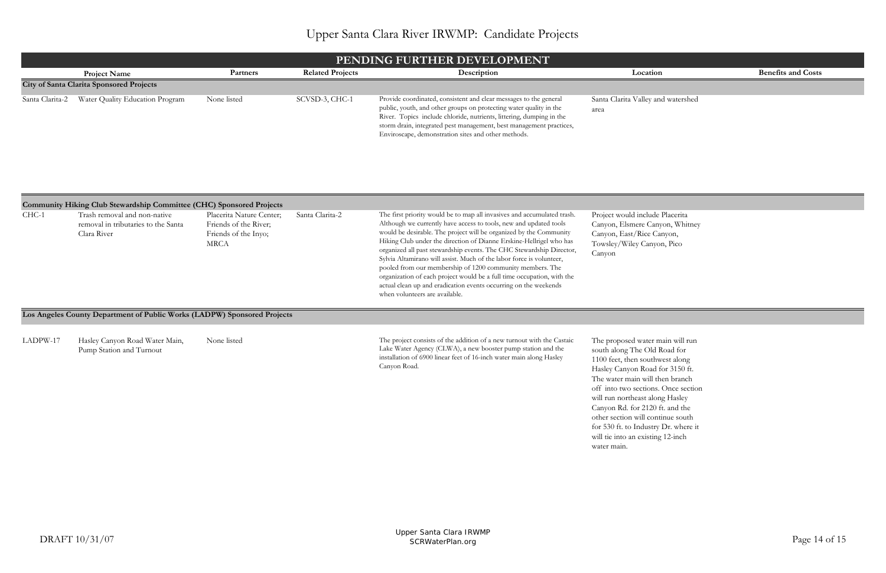main will run l Road for hwest along I for  $3150$  ft. ong Hasley ft. and the ry Dr. where it will tie into an existing 12-inch

| PENDING FURTHER DEVELOPMENT                     |                 |                         |                                                                                                                                                                                                                                                                                                                                               |                                            |                           |  |  |
|-------------------------------------------------|-----------------|-------------------------|-----------------------------------------------------------------------------------------------------------------------------------------------------------------------------------------------------------------------------------------------------------------------------------------------------------------------------------------------|--------------------------------------------|---------------------------|--|--|
| <b>Project Name</b>                             | <b>Partners</b> | <b>Related Projects</b> | Description                                                                                                                                                                                                                                                                                                                                   | Location                                   | <b>Benefits and Costs</b> |  |  |
| <b>City of Santa Clarita Sponsored Projects</b> |                 |                         |                                                                                                                                                                                                                                                                                                                                               |                                            |                           |  |  |
| Santa Clarita-2 Water Quality Education Program | None listed     | SCVSD-3, CHC-1          | Provide coordinated, consistent and clear messages to the general<br>public, youth, and other groups on protecting water quality in the<br>River. Topics include chloride, nutrients, littering, dumping in the<br>storm drain, integrated pest management, best management practices,<br>Enviroscape, demonstration sites and other methods. | Santa Clarita Valley and watershed<br>area |                           |  |  |

|          | Community Hiking Club Stewardship Committee (CHC) Sponsored Projects               |                                                                                          |                 |                                                                                                                                                                                                                                                                                                                                                                                                                                                                                                                                                                                                                                                                                        |                                                                                                                                                                                                                                                                                                                                                                     |
|----------|------------------------------------------------------------------------------------|------------------------------------------------------------------------------------------|-----------------|----------------------------------------------------------------------------------------------------------------------------------------------------------------------------------------------------------------------------------------------------------------------------------------------------------------------------------------------------------------------------------------------------------------------------------------------------------------------------------------------------------------------------------------------------------------------------------------------------------------------------------------------------------------------------------------|---------------------------------------------------------------------------------------------------------------------------------------------------------------------------------------------------------------------------------------------------------------------------------------------------------------------------------------------------------------------|
| $CHC-1$  | Trash removal and non-native<br>removal in tributaries to the Santa<br>Clara River | Placerita Nature Center;<br>Friends of the River;<br>Friends of the Inyo;<br><b>MRCA</b> | Santa Clarita-2 | The first priority would be to map all invasives and accumulated trash.<br>Although we currently have access to tools, new and updated tools<br>would be desirable. The project will be organized by the Community<br>Hiking Club under the direction of Dianne Erskine-Hellrigel who has<br>organized all past stewardship events. The CHC Stewardship Director,<br>Sylvia Altamirano will assist. Much of the labor force is volunteer,<br>pooled from our membership of 1200 community members. The<br>organization of each project would be a full time occupation, with the<br>actual clean up and eradication events occurring on the weekends<br>when volunteers are available. | Project would include Placerita<br>Canyon, Elsmere Canyon, Whitney<br>Canyon, East/Rice Canyon,<br>Towsley/Wiley Canyon, Pico<br>Canyon                                                                                                                                                                                                                             |
|          | Los Angeles County Department of Public Works (LADPW) Sponsored Projects           |                                                                                          |                 |                                                                                                                                                                                                                                                                                                                                                                                                                                                                                                                                                                                                                                                                                        |                                                                                                                                                                                                                                                                                                                                                                     |
| LADPW-17 | Hasley Canyon Road Water Main,<br>Pump Station and Turnout                         | None listed                                                                              |                 | The project consists of the addition of a new turnout with the Castaic<br>Lake Water Agency (CLWA), a new booster pump station and the<br>installation of 6900 linear feet of 16-inch water main along Hasley<br>Canyon Road.                                                                                                                                                                                                                                                                                                                                                                                                                                                          | The proposed water main will run<br>south along The Old Road for<br>1100 feet, then southwest along<br>Hasley Canyon Road for 3150 ft.<br>The water main will then branch<br>off into two sections. Once section<br>will run northeast along Hasley<br>Canyon Rd. for 2120 ft. and the<br>other section will continue south<br>for 530 ft. to Industry Dr. where it |

water main.